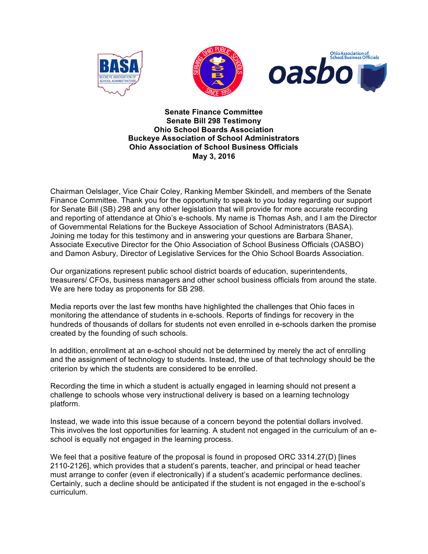





**Senate Finance Committee Senate Bill 298 Testimony Ohio School Boards Association Buckeye Association of School Administrators Ohio Association of School Business Officials May 3, 2016**

Chairman Oelslager, Vice Chair Coley, Ranking Member Skindell, and members of the Senate Finance Committee. Thank you for the opportunity to speak to you today regarding our support for Senate Bill (SB) 298 and any other legislation that will provide for more accurate recording and reporting of attendance at Ohio's e-schools. My name is Thomas Ash, and I am the Director of Governmental Relations for the Buckeye Association of School Administrators (BASA). Joining me today for this testimony and in answering your questions are Barbara Shaner, Associate Executive Director for the Ohio Association of School Business Officials (OASBO) and Damon Asbury, Director of Legislative Services for the Ohio School Boards Association.

Our organizations represent public school district boards of education, superintendents, treasurers/ CFOs, business managers and other school business officials from around the state. We are here today as proponents for SB 298.

Media reports over the last few months have highlighted the challenges that Ohio faces in monitoring the attendance of students in e-schools. Reports of findings for recovery in the hundreds of thousands of dollars for students not even enrolled in e-schools darken the promise created by the founding of such schools.

In addition, enrollment at an e-school should not be determined by merely the act of enrolling and the assignment of technology to students. Instead, the use of that technology should be the criterion by which the students are considered to be enrolled.

Recording the time in which a student is actually engaged in learning should not present a challenge to schools whose very instructional delivery is based on a learning technology platform.

Instead, we wade into this issue because of a concern beyond the potential dollars involved. This involves the lost opportunities for learning. A student not engaged in the curriculum of an eschool is equally not engaged in the learning process.

We feel that a positive feature of the proposal is found in proposed ORC 3314.27(D) [lines 2110-2126], which provides that a student's parents, teacher, and principal or head teacher must arrange to confer (even if electronically) if a student's academic performance declines. Certainly, such a decline should be anticipated if the student is not engaged in the e-school's curriculum.